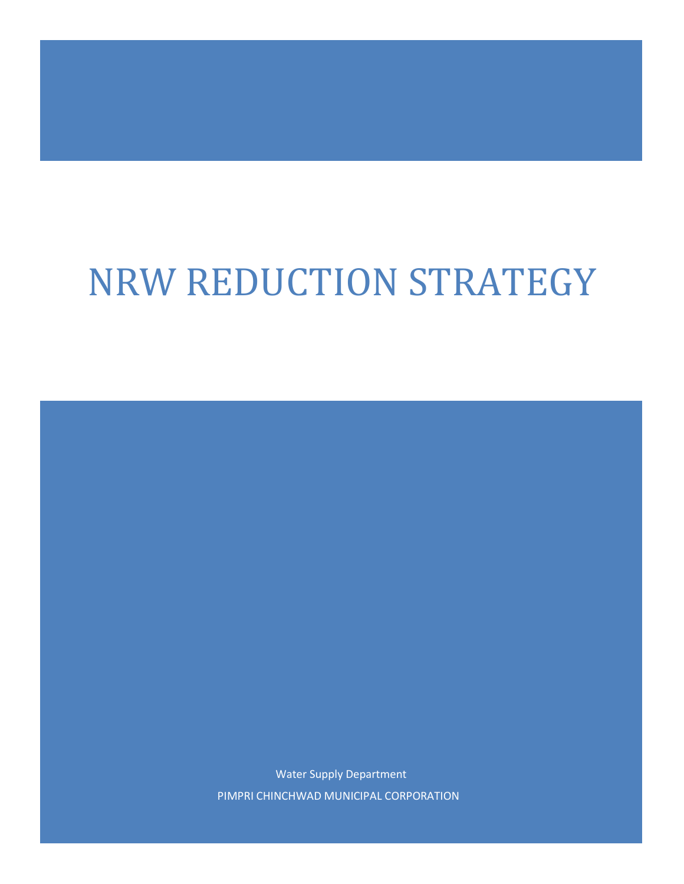# NRW REDUCTION STRATEGY

Water Supply Department PIMPRI CHINCHWAD MUNICIPAL CORPORATION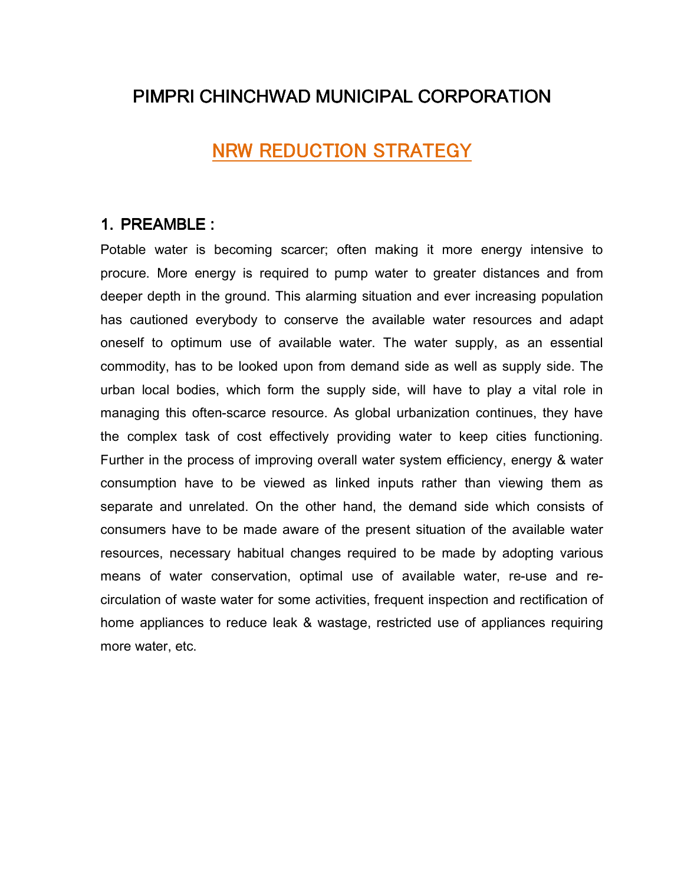## PIMPRI CHINCHWAD MUNICIPAL CORPORATION

## NRW REDUCTION STRATEGY

### 1. PREAMBLE : :

Potable water is becoming scarcer; often making it more energy intensive to procure. More energy is required to pump water to greater distances and from deeper depth in the ground. This alarming situation and ever increasing population has cautioned everybody to conserve the available water resources and adapt oneself to optimum use of available water. The water supply, as an essential commodity, has to be looked upon from demand side as well as supply side. The urban local bodies, which form the supply side, will have to play a vital role in managing this often-scarce resource. As global urbanization continues, they have the complex task of cost effectively providing water to keep cities functioning. Further in the process of improving overall water system efficiency, energy & water consumption have to be viewed as linked inputs rather than viewing them as separate and unrelated. On the other hand, the demand side which consists of consumers have to be made aware of the present situation of the available water resources, necessary habitual changes required to be made by adopting various means of water conservation, optimal use of available water, re-use and recirculation of waste water for some activities, frequent inspection and rectification of home appliances to reduce leak & wastage, restricted use of appliances requiring more water, etc.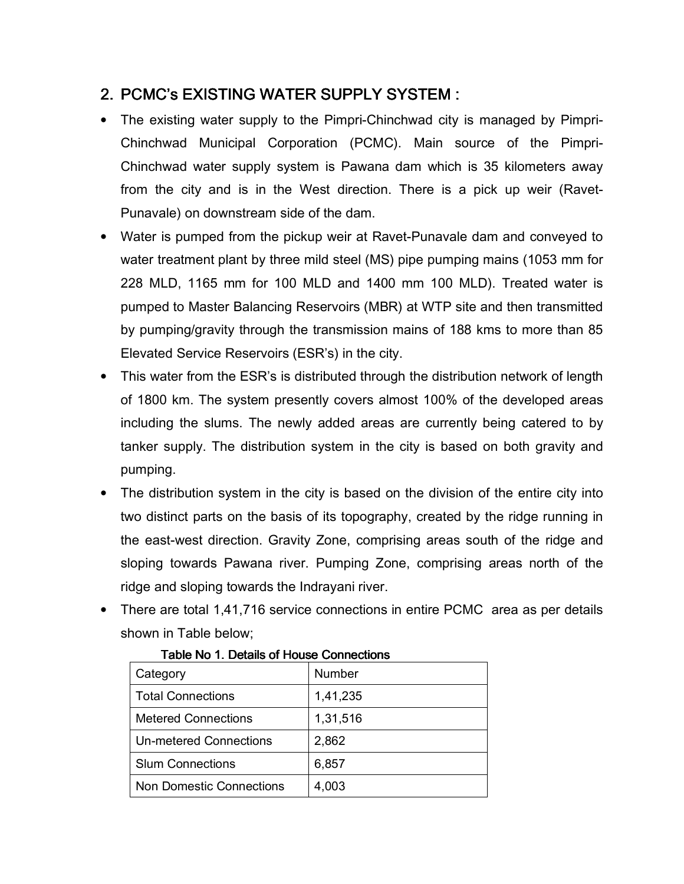## 2. PCMC's EXISTING WATER SUPPLY SYSTEM :

- The existing water supply to the Pimpri-Chinchwad city is managed by Pimpri-Chinchwad Municipal Corporation (PCMC). Main source of the Pimpri-Chinchwad water supply system is Pawana dam which is 35 kilometers away from the city and is in the West direction. There is a pick up weir (Ravet-Punavale) on downstream side of the dam.
- Water is pumped from the pickup weir at Ravet-Punavale dam and conveyed to water treatment plant by three mild steel (MS) pipe pumping mains (1053 mm for 228 MLD, 1165 mm for 100 MLD and 1400 mm 100 MLD). Treated water is pumped to Master Balancing Reservoirs (MBR) at WTP site and then transmitted by pumping/gravity through the transmission mains of 188 kms to more than 85 Elevated Service Reservoirs (ESR's) in the city.
- This water from the ESR's is distributed through the distribution network of length of 1800 km. The system presently covers almost 100% of the developed areas including the slums. The newly added areas are currently being catered to by tanker supply. The distribution system in the city is based on both gravity and pumping.
- The distribution system in the city is based on the division of the entire city into two distinct parts on the basis of its topography, created by the ridge running in the east-west direction. Gravity Zone, comprising areas south of the ridge and sloping towards Pawana river. Pumping Zone, comprising areas north of the ridge and sloping towards the Indrayani river.
- There are total 1,41,716 service connections in entire PCMC area as per details shown in Table below;

| Category                        | Number   |
|---------------------------------|----------|
| <b>Total Connections</b>        | 1,41,235 |
| <b>Metered Connections</b>      | 1,31,516 |
| Un-metered Connections          | 2,862    |
| <b>Slum Connections</b>         | 6,857    |
| <b>Non Domestic Connections</b> | 4,003    |

#### Table No. 1. Details of House Connections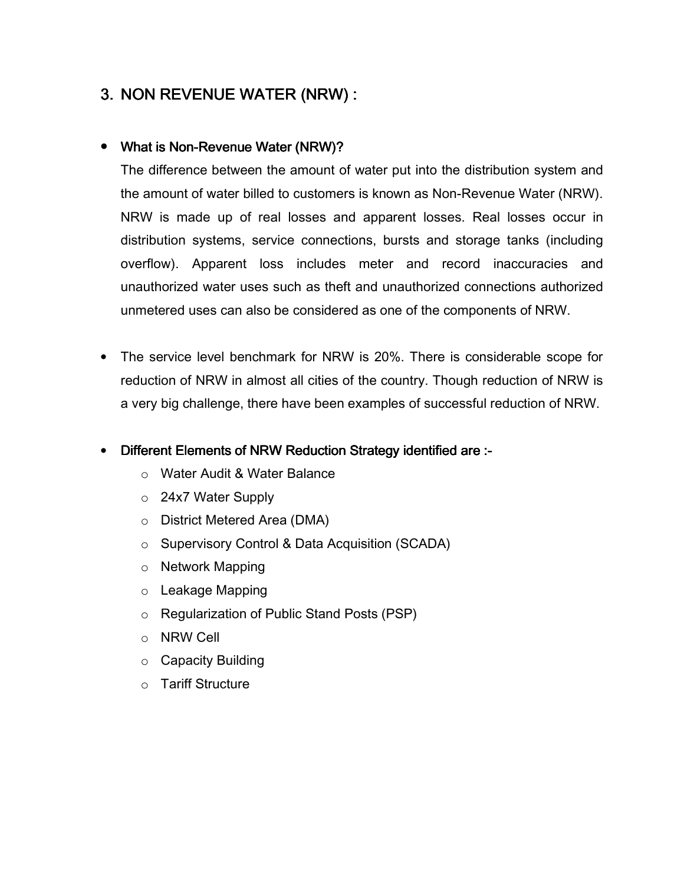## 3. NON REVENUE WATER (NRW) :

#### • What is Non-Revenue Water (NRW)?

The difference between the amount of water put into the distribution system and the amount of water billed to customers is known as Non-Revenue Water (NRW). NRW is made up of real losses and apparent losses. Real losses occur in distribution systems, service connections, bursts and storage tanks (including overflow). Apparent loss includes meter and record inaccuracies and unauthorized water uses such as theft and unauthorized connections authorized unmetered uses can also be considered as one of the components of NRW.

• The service level benchmark for NRW is 20%. There is considerable scope for reduction of NRW in almost all cities of the country. Though reduction of NRW is a very big challenge, there have been examples of successful reduction of NRW.

#### **Different Elements of NRW Reduction Strategy identified are :-**

- o Water Audit & Water Balance
- o 24x7 Water Supply
- o District Metered Area (DMA)
- o Supervisory Control & Data Acquisition (SCADA)
- o Network Mapping
- o Leakage Mapping
- o Regularization of Public Stand Posts (PSP)
- o NRW Cell
- o Capacity Building
- o Tariff Structure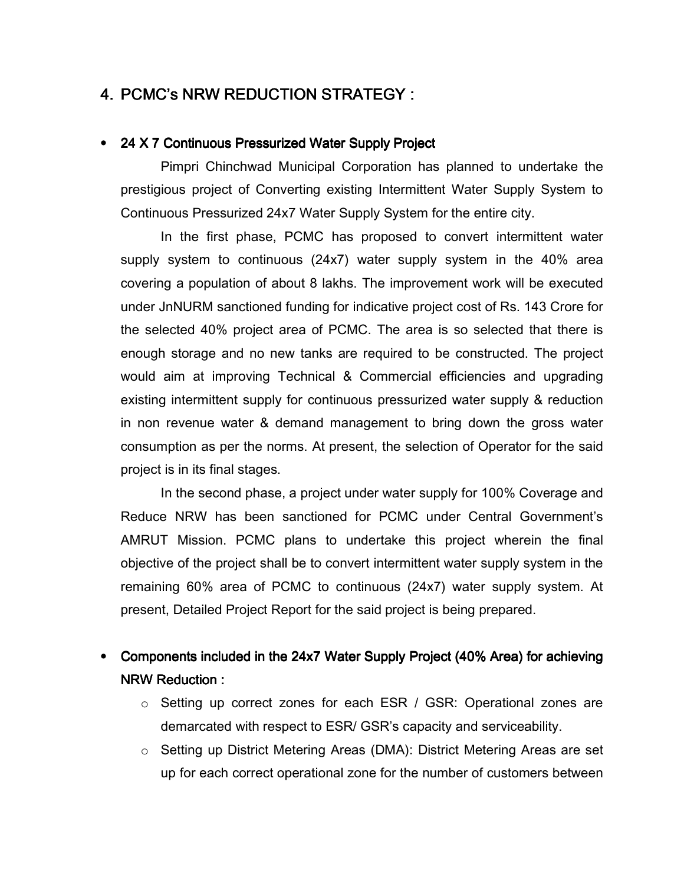## 4. PCMC's NRW REDUCTION STRATEGY :

#### • 24 X 7 Continuous Pressurized Water Supply Project

Pimpri Chinchwad Municipal Corporation has planned to undertake the prestigious project of Converting existing Intermittent Water Supply System to Continuous Pressurized 24x7 Water Supply System for the entire city.

In the first phase, PCMC has proposed to convert intermittent water supply system to continuous (24x7) water supply system in the 40% area covering a population of about 8 lakhs. The improvement work will be executed under JnNURM sanctioned funding for indicative project cost of Rs. 143 Crore for the selected 40% project area of PCMC. The area is so selected that there is enough storage and no new tanks are required to be constructed. The project would aim at improving Technical & Commercial efficiencies and upgrading existing intermittent supply for continuous pressurized water supply & reduction in non revenue water & demand management to bring down the gross water consumption as per the norms. At present, the selection of Operator for the said project is in its final stages.

In the second phase, a project under water supply for 100% Coverage and Reduce NRW has been sanctioned for PCMC under Central Government's AMRUT Mission. PCMC plans to undertake this project wherein the final objective of the project shall be to convert intermittent water supply system in the remaining 60% area of PCMC to continuous (24x7) water supply system. At present, Detailed Project Report for the said project is being prepared.

## • Components included in the 24x7 Water Supply Project (40% Area) for achieving NRW Reduction : :

- o Setting up correct zones for each ESR / GSR: Operational zones are demarcated with respect to ESR/ GSR's capacity and serviceability.
- o Setting up District Metering Areas (DMA): District Metering Areas are set up for each correct operational zone for the number of customers between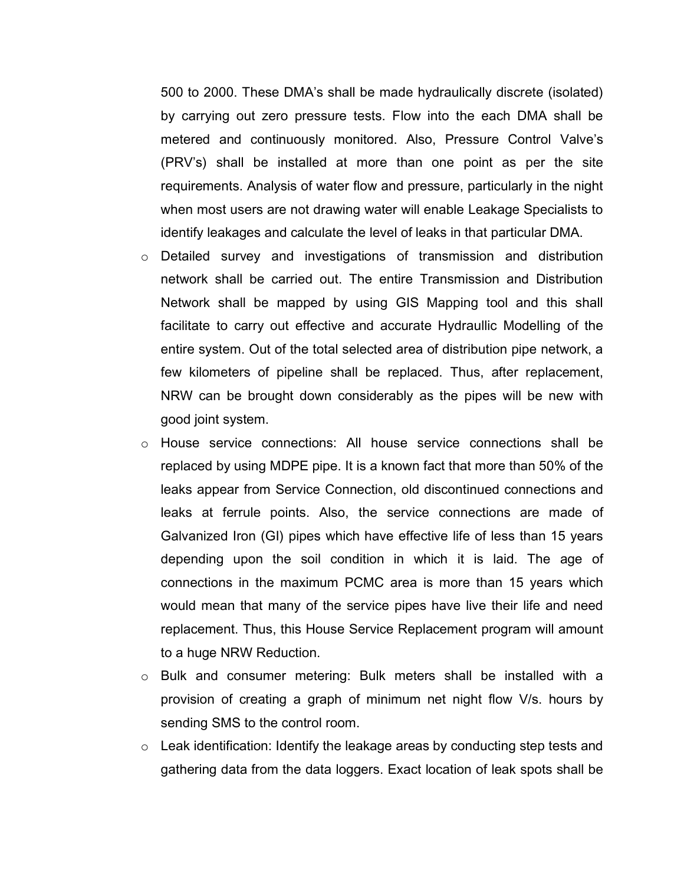500 to 2000. These DMA's shall be made hydraulically discrete (isolated) by carrying out zero pressure tests. Flow into the each DMA shall be metered and continuously monitored. Also, Pressure Control Valve's (PRV's) shall be installed at more than one point as per the site requirements. Analysis of water flow and pressure, particularly in the night when most users are not drawing water will enable Leakage Specialists to identify leakages and calculate the level of leaks in that particular DMA.

- o Detailed survey and investigations of transmission and distribution network shall be carried out. The entire Transmission and Distribution Network shall be mapped by using GIS Mapping tool and this shall facilitate to carry out effective and accurate Hydraullic Modelling of the entire system. Out of the total selected area of distribution pipe network, a few kilometers of pipeline shall be replaced. Thus, after replacement, NRW can be brought down considerably as the pipes will be new with good joint system.
- o House service connections: All house service connections shall be replaced by using MDPE pipe. It is a known fact that more than 50% of the leaks appear from Service Connection, old discontinued connections and leaks at ferrule points. Also, the service connections are made of Galvanized Iron (GI) pipes which have effective life of less than 15 years depending upon the soil condition in which it is laid. The age of connections in the maximum PCMC area is more than 15 years which would mean that many of the service pipes have live their life and need replacement. Thus, this House Service Replacement program will amount to a huge NRW Reduction.
- o Bulk and consumer metering: Bulk meters shall be installed with a provision of creating a graph of minimum net night flow V/s. hours by sending SMS to the control room.
- o Leak identification: Identify the leakage areas by conducting step tests and gathering data from the data loggers. Exact location of leak spots shall be